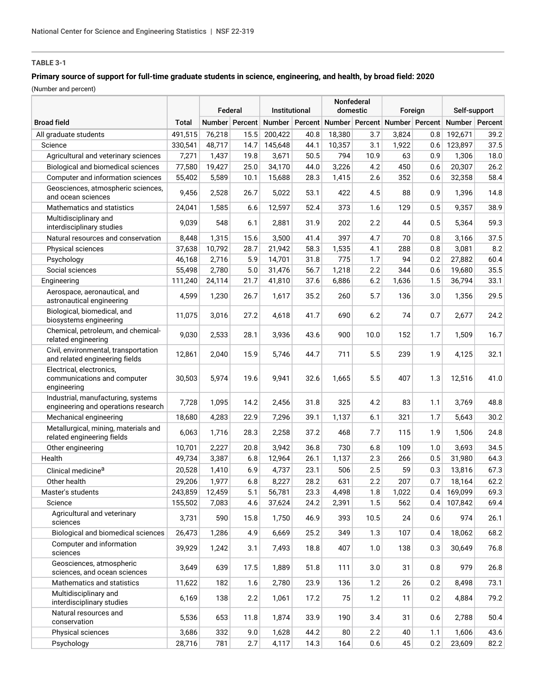# **TABLE 3-1**

## **Primary source of support for full-time graduate students in science, engineering, and health, by broad field: 2020**

(Number and percent)

|                                                                           |              | Federal |                | Institutional |      | Nonfederal<br>domestic |      | Foreign |                | Self-support     |      |
|---------------------------------------------------------------------------|--------------|---------|----------------|---------------|------|------------------------|------|---------|----------------|------------------|------|
| <b>Broad field</b>                                                        | <b>Total</b> |         | Number Percent | Number        |      | Percent Number Percent |      |         | Number Percent | Number   Percent |      |
| All graduate students                                                     | 491,515      | 76,218  | 15.5           | 200,422       | 40.8 | 18,380                 | 3.7  | 3,824   | 0.8            | 192,671          | 39.2 |
| Science                                                                   | 330,541      | 48,717  | 14.7           | 145,648       | 44.1 | 10,357                 | 3.1  | 1,922   | 0.6            | 123,897          | 37.5 |
| Agricultural and veterinary sciences                                      | 7,271        | 1,437   | 19.8           | 3,671         | 50.5 | 794                    | 10.9 | 63      | 0.9            | 1,306            | 18.0 |
| Biological and biomedical sciences                                        | 77,580       | 19,427  | 25.0           | 34,170        | 44.0 | 3,226                  | 4.2  | 450     | 0.6            | 20,307           | 26.2 |
| Computer and information sciences                                         | 55,402       | 5,589   | 10.1           | 15,688        | 28.3 | 1,415                  | 2.6  | 352     | 0.6            | 32,358           | 58.4 |
| Geosciences, atmospheric sciences,<br>and ocean sciences                  | 9,456        | 2,528   | 26.7           | 5,022         | 53.1 | 422                    | 4.5  | 88      | 0.9            | 1,396            | 14.8 |
| Mathematics and statistics                                                | 24,041       | 1,585   | 6.6            | 12,597        | 52.4 | 373                    | 1.6  | 129     | 0.5            | 9,357            | 38.9 |
| Multidisciplinary and<br>interdisciplinary studies                        | 9,039        | 548     | 6.1            | 2,881         | 31.9 | 202                    | 2.2  | 44      | 0.5            | 5,364            | 59.3 |
| Natural resources and conservation                                        | 8,448        | 1,315   | 15.6           | 3,500         | 41.4 | 397                    | 4.7  | 70      | 0.8            | 3,166            | 37.5 |
| Physical sciences                                                         | 37,638       | 10,792  | 28.7           | 21,942        | 58.3 | 1,535                  | 4.1  | 288     | 0.8            | 3,081            | 8.2  |
| Psychology                                                                | 46,168       | 2,716   | 5.9            | 14,701        | 31.8 | 775                    | 1.7  | 94      | 0.2            | 27,882           | 60.4 |
| Social sciences                                                           | 55,498       | 2,780   | 5.0            | 31,476        | 56.7 | 1,218                  | 2.2  | 344     | 0.6            | 19,680           | 35.5 |
| Engineering                                                               | 111,240      | 24,114  | 21.7           | 41,810        | 37.6 | 6,886                  | 6.2  | 1,636   | 1.5            | 36,794           | 33.1 |
| Aerospace, aeronautical, and<br>astronautical engineering                 | 4,599        | 1,230   | 26.7           | 1,617         | 35.2 | 260                    | 5.7  | 136     | 3.0            | 1,356            | 29.5 |
| Biological, biomedical, and<br>biosystems engineering                     | 11,075       | 3,016   | 27.2           | 4,618         | 41.7 | 690                    | 6.2  | 74      | 0.7            | 2,677            | 24.2 |
| Chemical, petroleum, and chemical-<br>related engineering                 | 9,030        | 2,533   | 28.1           | 3,936         | 43.6 | 900                    | 10.0 | 152     | 1.7            | 1,509            | 16.7 |
| Civil, environmental, transportation<br>and related engineering fields    | 12,861       | 2,040   | 15.9           | 5,746         | 44.7 | 711                    | 5.5  | 239     | 1.9            | 4,125            | 32.1 |
| Electrical, electronics,<br>communications and computer<br>engineering    | 30,503       | 5,974   | 19.6           | 9,941         | 32.6 | 1,665                  | 5.5  | 407     | 1.3            | 12,516           | 41.0 |
| Industrial, manufacturing, systems<br>engineering and operations research | 7,728        | 1,095   | 14.2           | 2,456         | 31.8 | 325                    | 4.2  | 83      | 1.1            | 3,769            | 48.8 |
| Mechanical engineering                                                    | 18,680       | 4,283   | 22.9           | 7,296         | 39.1 | 1,137                  | 6.1  | 321     | 1.7            | 5,643            | 30.2 |
| Metallurgical, mining, materials and<br>related engineering fields        | 6,063        | 1,716   | 28.3           | 2,258         | 37.2 | 468                    | 7.7  | 115     | 1.9            | 1,506            | 24.8 |
| Other engineering                                                         | 10,701       | 2,227   | 20.8           | 3,942         | 36.8 | 730                    | 6.8  | 109     | 1.0            | 3,693            | 34.5 |
| Health                                                                    | 49,734       | 3,387   | 6.8            | 12,964        | 26.1 | 1,137                  | 2.3  | 266     | 0.5            | 31,980           | 64.3 |
| Clinical medicine <sup>a</sup>                                            | 20,528       | 1,410   | 6.9            | 4,737         | 23.1 | 506                    | 2.5  | 59      | 0.3            | 13,816           | 67.3 |
| Other health                                                              | 29,206       | 1,977   | 6.8            | 8,227         | 28.2 | 631                    | 2.2  | 207     | 0.7            | 18,164           | 62.2 |
| Master's students                                                         | 243,859      | 12,459  | 5.1            | 56,781        | 23.3 | 4,498                  | 1.8  | 1,022   | 0.4            | 169,099          | 69.3 |
| Science                                                                   | 155,502      | 7,083   | 4.6            | 37,624        | 24.2 | 2,391                  | 1.5  | 562     | 0.4            | 107,842          | 69.4 |
| Agricultural and veterinary<br>sciences                                   | 3,731        | 590     | 15.8           | 1,750         | 46.9 | 393                    | 10.5 | 24      | 0.6            | 974              | 26.1 |
| Biological and biomedical sciences                                        | 26,473       | 1,286   | 4.9            | 6,669         | 25.2 | 349                    | 1.3  | 107     | 0.4            | 18,062           | 68.2 |
| Computer and information<br>sciences                                      | 39,929       | 1,242   | 3.1            | 7,493         | 18.8 | 407                    | 1.0  | 138     | 0.3            | 30,649           | 76.8 |
| Geosciences, atmospheric<br>sciences, and ocean sciences                  | 3,649        | 639     | 17.5           | 1,889         | 51.8 | 111                    | 3.0  | 31      | 0.8            | 979              | 26.8 |
| Mathematics and statistics                                                | 11,622       | 182     | 1.6            | 2,780         | 23.9 | 136                    | 1.2  | 26      | 0.2            | 8,498            | 73.1 |
| Multidisciplinary and<br>interdisciplinary studies                        | 6,169        | 138     | 2.2            | 1,061         | 17.2 | 75                     | 1.2  | 11      | 0.2            | 4,884            | 79.2 |
| Natural resources and<br>conservation                                     | 5,536        | 653     | 11.8           | 1,874         | 33.9 | 190                    | 3.4  | 31      | 0.6            | 2,788            | 50.4 |
| Physical sciences                                                         | 3,686        | 332     | 9.0            | 1,628         | 44.2 | 80                     | 2.2  | 40      | 1.1            | 1,606            | 43.6 |
| Psychology                                                                | 28,716       | 781     | 2.7            | 4,117         | 14.3 | 164                    | 0.6  | 45      | 0.2            | 23,609           | 82.2 |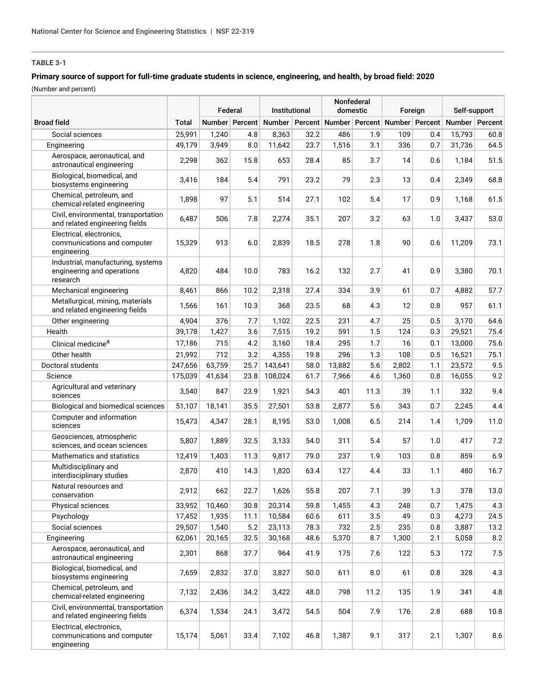## **TABLE 3-1**

## **Primary source of support for full-time graduate students in science, engineering, and health, by broad field: 2020**

(Number and percent)

|                                                                              |         | Federal |                | Institutional |      | Nonfederal<br>domestic |      | Foreign                               |     | Self-support     |      |
|------------------------------------------------------------------------------|---------|---------|----------------|---------------|------|------------------------|------|---------------------------------------|-----|------------------|------|
| <b>Broad field</b>                                                           | Total   |         | Number Percent | Number        |      |                        |      | Percent Number Percent Number Percent |     | Number   Percent |      |
| Social sciences                                                              | 25,991  | 1,240   | 4.8            | 8,363         | 32.2 | 486                    | 1.9  | 109                                   | 0.4 | 15,793           | 60.8 |
| Engineering                                                                  | 49,179  | 3,949   | 8.0            | 11,642        | 23.7 | 1,516                  | 3.1  | 336                                   | 0.7 | 31,736           | 64.5 |
| Aerospace, aeronautical, and<br>astronautical engineering                    | 2,298   | 362     | 15.8           | 653           | 28.4 | 85                     | 3.7  | 14                                    | 0.6 | 1,184            | 51.5 |
| Biological, biomedical, and<br>biosystems engineering                        | 3,416   | 184     | 5.4            | 791           | 23.2 | 79                     | 2.3  | 13                                    | 0.4 | 2,349            | 68.8 |
| Chemical, petroleum, and<br>chemical-related engineering                     | 1,898   | 97      | 5.1            | 514           | 27.1 | 102                    | 5.4  | 17                                    | 0.9 | 1,168            | 61.5 |
| Civil, environmental, transportation<br>and related engineering fields       | 6,487   | 506     | 7.8            | 2,274         | 35.1 | 207                    | 3.2  | 63                                    | 1.0 | 3,437            | 53.0 |
| Electrical, electronics,<br>communications and computer<br>engineering       | 15,329  | 913     | 6.0            | 2,839         | 18.5 | 278                    | 1.8  | 90                                    | 0.6 | 11,209           | 73.1 |
| Industrial, manufacturing, systems<br>engineering and operations<br>research | 4,820   | 484     | 10.0           | 783           | 16.2 | 132                    | 2.7  | 41                                    | 0.9 | 3,380            | 70.1 |
| Mechanical engineering                                                       | 8,461   | 866     | 10.2           | 2,318         | 27.4 | 334                    | 3.9  | 61                                    | 0.7 | 4,882            | 57.7 |
| Metallurgical, mining, materials<br>and related engineering fields           | 1,566   | 161     | 10.3           | 368           | 23.5 | 68                     | 4.3  | 12                                    | 0.8 | 957              | 61.1 |
| Other engineering                                                            | 4,904   | 376     | 7.7            | 1,102         | 22.5 | 231                    | 4.7  | 25                                    | 0.5 | 3,170            | 64.6 |
| Health                                                                       | 39,178  | 1,427   | 3.6            | 7,515         | 19.2 | 591                    | 1.5  | 124                                   | 0.3 | 29,521           | 75.4 |
| Clinical medicine <sup>a</sup>                                               | 17,186  | 715     | 4.2            | 3,160         | 18.4 | 295                    | 1.7  | 16                                    | 0.1 | 13,000           | 75.6 |
| Other health                                                                 | 21,992  | 712     | 3.2            | 4,355         | 19.8 | 296                    | 1.3  | 108                                   | 0.5 | 16,521           | 75.1 |
| Doctoral students                                                            | 247,656 | 63,759  | 25.7           | 143,641       | 58.0 | 13,882                 | 5.6  | 2,802                                 | 1.1 | 23,572           | 9.5  |
| Science                                                                      | 175,039 | 41,634  | 23.8           | 108,024       | 61.7 | 7,966                  | 4.6  | 1,360                                 | 0.8 | 16,055           | 9.2  |
| Agricultural and veterinary<br>sciences                                      | 3,540   | 847     | 23.9           | 1,921         | 54.3 | 401                    | 11.3 | 39                                    | 1.1 | 332              | 9.4  |
| Biological and biomedical sciences                                           | 51,107  | 18,141  | 35.5           | 27,501        | 53.8 | 2,877                  | 5.6  | 343                                   | 0.7 | 2,245            | 4.4  |
| Computer and information<br>sciences                                         | 15,473  | 4,347   | 28.1           | 8,195         | 53.0 | 1,008                  | 6.5  | 214                                   | 1.4 | 1,709            | 11.0 |
| Geosciences, atmospheric<br>sciences, and ocean sciences                     | 5,807   | 1,889   | 32.5           | 3,133         | 54.0 | 311                    | 5.4  | 57                                    | 1.0 | 417              | 7.2  |
| Mathematics and statistics                                                   | 12,419  | 1,403   | 11.3           | 9,817         | 79.0 | 237                    | 1.9  | 103                                   | 0.8 | 859              | 6.9  |
| Multidisciplinary and<br>interdisciplinary studies                           | 2,870   | 410     | 14.3           | 1,820         | 63.4 | 127                    | 4.4  | 33                                    | 1.1 | 480              | 16.7 |
| Natural resources and<br>conservation                                        | 2,912   | 662     | 22.7           | 1,626         | 55.8 | 207                    | 7.1  | 39                                    | 1.3 | 378              | 13.0 |
| Physical sciences                                                            | 33,952  | 10,460  | 30.8           | 20,314        | 59.8 | 1,455                  | 4.3  | 248                                   | 0.7 | 1,475            | 4.3  |
| Psychology                                                                   | 17,452  | 1,935   | 11.1           | 10,584        | 60.6 | 611                    | 3.5  | 49                                    | 0.3 | 4,273            | 24.5 |
| Social sciences                                                              | 29,507  | 1,540   | 5.2            | 23,113        | 78.3 | 732                    | 2.5  | 235                                   | 0.8 | 3,887            | 13.2 |
| Engineering                                                                  | 62,061  | 20,165  | 32.5           | 30,168        | 48.6 | 5,370                  | 8.7  | 1,300                                 | 2.1 | 5,058            | 8.2  |
| Aerospace, aeronautical, and<br>astronautical engineering                    | 2,301   | 868     | 37.7           | 964           | 41.9 | 175                    | 7.6  | 122                                   | 5.3 | 172              | 7.5  |
| Biological, biomedical, and<br>biosystems engineering                        | 7,659   | 2,832   | 37.0           | 3,827         | 50.0 | 611                    | 8.0  | 61                                    | 0.8 | 328              | 4.3  |
| Chemical, petroleum, and<br>chemical-related engineering                     | 7,132   | 2,436   | 34.2           | 3,422         | 48.0 | 798                    | 11.2 | 135                                   | 1.9 | 341              | 4.8  |
| Civil, environmental, transportation<br>and related engineering fields       | 6,374   | 1,534   | 24.1           | 3,472         | 54.5 | 504                    | 7.9  | 176                                   | 2.8 | 688              | 10.8 |
| Electrical, electronics,<br>communications and computer<br>engineering       | 15,174  | 5,061   | 33.4           | 7,102         | 46.8 | 1,387                  | 9.1  | 317                                   | 2.1 | 1,307            | 8.6  |